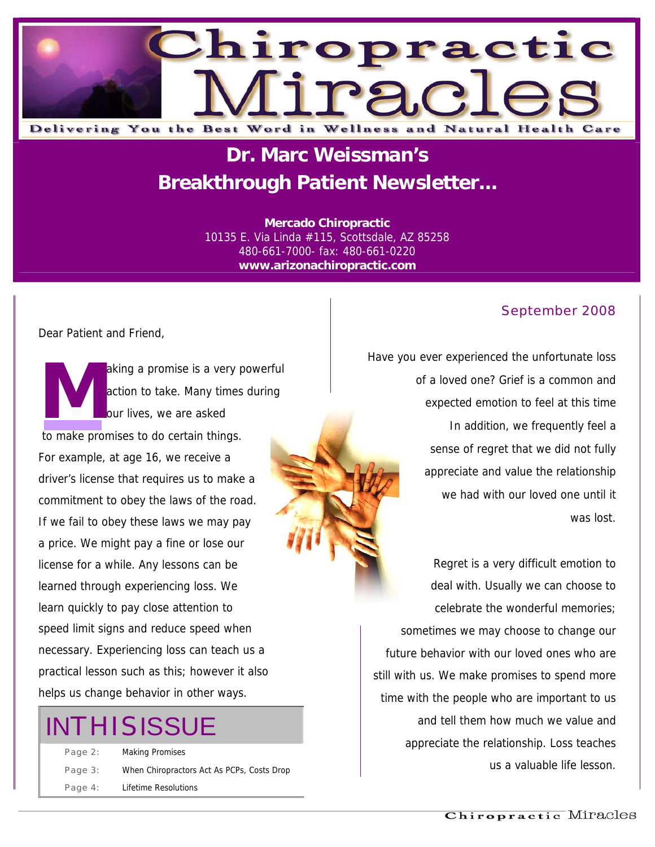

### **Dr. Marc Weissman's Breakthrough Patient Newsletter...**

**Mercado Chiropractic**  10135 E. Via Linda #115, Scottsdale, AZ 85258 480-661-7000- fax: 480-661-0220 **www.arizonachiropractic.com**

#### Dear Patient and Friend,

aking a promise is a very powerful action to take. Many times during our lives, we are asked to make promises to do certain things. For example, at age 16, we receive a driver's license that requires us to make a commitment to obey the laws of the road. If we fail to obey these laws we may pay a price. We might pay a fine or lose our license for a while. Any lessons can be learned through experiencing loss. We learn quickly to pay close attention to speed limit signs and reduce speed when necessary. Experiencing loss can teach us a practical lesson such as this; however it also helps us change behavior in other ways. actic action

## **INTHISISSUE**

Page 2: Making Promises Page 3: When Chiropractors Act As PCPs, Costs Drop Page 4: Lifetime Resolutions

#### September 2008

Have you ever experienced the unfortunate loss of a loved one? Grief is a common and expected emotion to feel at this time In addition, we frequently feel a sense of regret that we did not fully appreciate and value the relationship we had with our loved one until it was lost.

Regret is a very difficult emotion to deal with. Usually we can choose to celebrate the wonderful memories; sometimes we may choose to change our future behavior with our loved ones who are still with us. We make promises to spend more time with the people who are important to us and tell them how much we value and appreciate the relationship. Loss teaches us a valuable life lesson.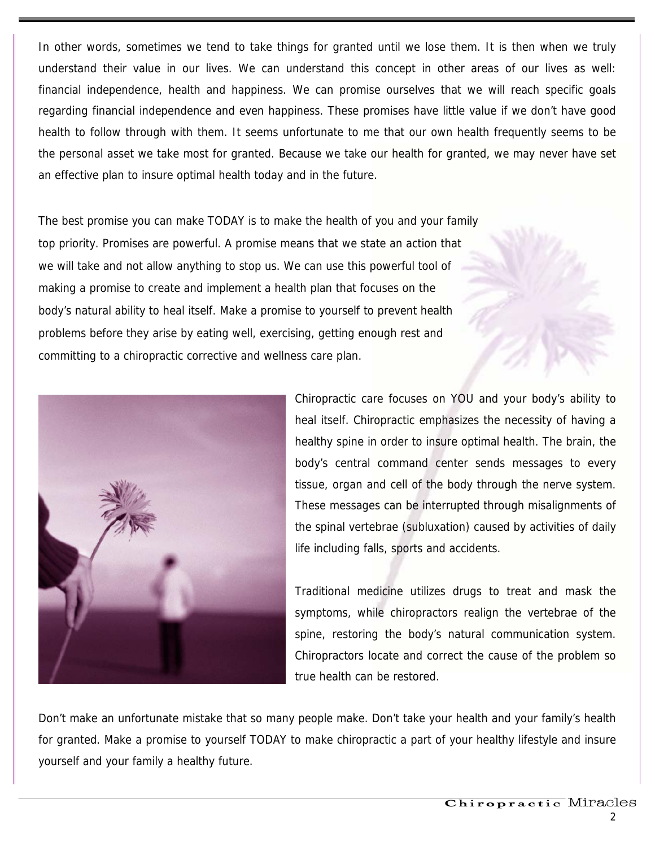In other words, sometimes we tend to take things for granted until we lose them. It is then when we truly understand their value in our lives. We can understand this concept in other areas of our lives as well: financial independence, health and happiness. We can promise ourselves that we will reach specific goals regarding financial independence and even happiness. These promises have little value if we don't have good health to follow through with them. It seems unfortunate to me that our own health frequently seems to be the personal asset we take most for granted. Because we take our health for granted, we may never have set an effective plan to insure optimal health today and in the future.

The best promise you can make TODAY is to make the health of you and your family top priority. Promises are powerful. A promise means that we state an action that we will take and not allow anything to stop us. We can use this powerful tool of making a promise to create and implement a health plan that focuses on the body's natural ability to heal itself. Make a promise to yourself to prevent health problems before they arise by eating well, exercising, getting enough rest and committing to a chiropractic corrective and wellness care plan.



Chiropractic care focuses on YOU and your body's ability to heal itself. Chiropractic emphasizes the necessity of having a healthy spine in order to insure optimal health. The brain, the body's central command center sends messages to every tissue, organ and cell of the body through the nerve system. These messages can be interrupted through misalignments of the spinal vertebrae (subluxation) caused by activities of daily life including falls, sports and accidents.

Traditional medicine utilizes drugs to treat and mask the symptoms, while chiropractors realign the vertebrae of the spine, restoring the body's natural communication system. Chiropractors locate and correct the cause of the problem so true health can be restored.

Don't make an unfortunate mistake that so many people make. Don't take your health and your family's health for granted. Make a promise to yourself TODAY to make chiropractic a part of your healthy lifestyle and insure yourself and your family a healthy future.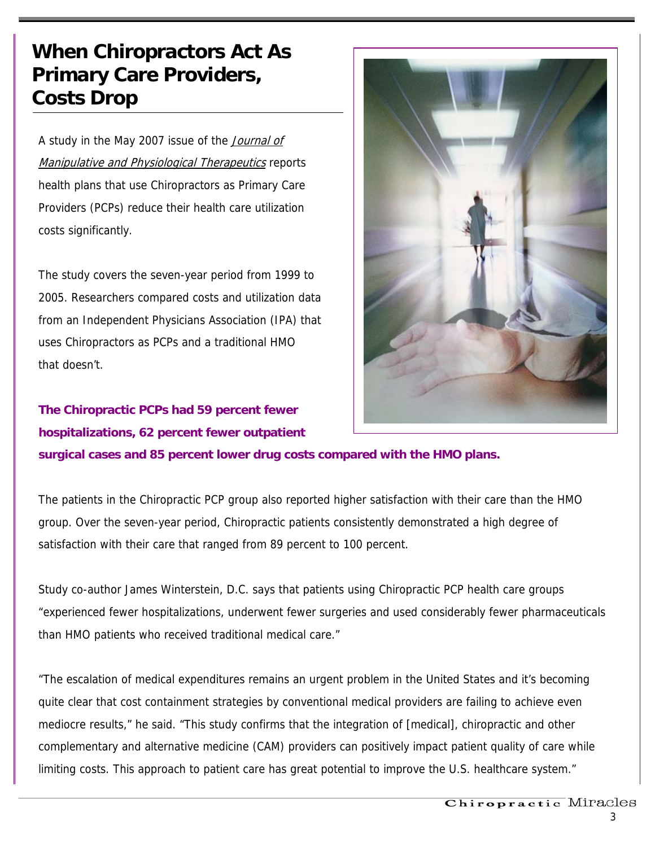### **When Chiropractors Act As Primary Care Providers, Costs Drop**

A study in the May 2007 issue of the Journal of Manipulative and Physiological Therapeutics reports health plans that use Chiropractors as Primary Care Providers (PCPs) reduce their health care utilization costs significantly.

The study covers the seven-year period from 1999 to 2005. Researchers compared costs and utilization data from an Independent Physicians Association (IPA) that uses Chiropractors as PCPs and a traditional HMO that doesn't.

**The Chiropractic PCPs had 59 percent fewer hospitalizations, 62 percent fewer outpatient surgical cases and 85 percent lower drug costs compared with the HMO plans.**



The patients in the Chiropractic PCP group also reported higher satisfaction with their care than the HMO group. Over the seven-year period, Chiropractic patients consistently demonstrated a high degree of satisfaction with their care that ranged from 89 percent to 100 percent.

Study co-author James Winterstein, D.C. says that patients using Chiropractic PCP health care groups "experienced fewer hospitalizations, underwent fewer surgeries and used considerably fewer pharmaceuticals than HMO patients who received traditional medical care."

"The escalation of medical expenditures remains an urgent problem in the United States and it's becoming quite clear that cost containment strategies by conventional medical providers are failing to achieve even mediocre results," he said. "This study confirms that the integration of [medical], chiropractic and other complementary and alternative medicine (CAM) providers can positively impact patient quality of care while limiting costs. This approach to patient care has great potential to improve the U.S. healthcare system."